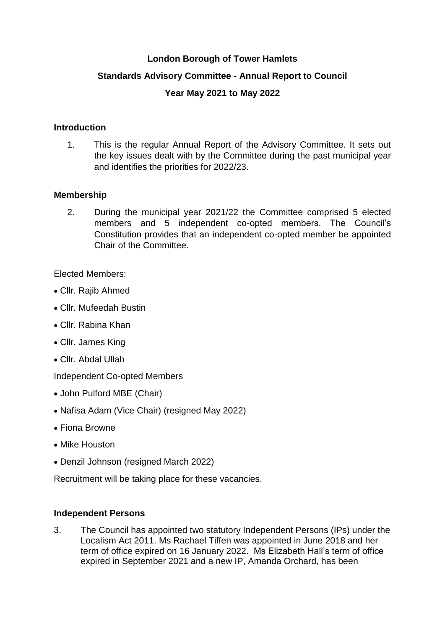### **London Borough of Tower Hamlets**

## **Standards Advisory Committee - Annual Report to Council**

## **Year May 2021 to May 2022**

### **Introduction**

1. This is the regular Annual Report of the Advisory Committee. It sets out the key issues dealt with by the Committee during the past municipal year and identifies the priorities for 2022/23.

#### **Membership**

2. During the municipal year 2021/22 the Committee comprised 5 elected members and 5 independent co-opted members. The Council's Constitution provides that an independent co-opted member be appointed Chair of the Committee.

Elected Members:

- Cllr. Rajib Ahmed
- Cllr. Mufeedah Bustin
- Cllr. Rabina Khan
- Cllr. James King
- Cllr. Abdal Ullah

Independent Co-opted Members

- John Pulford MBE (Chair)
- Nafisa Adam (Vice Chair) (resigned May 2022)
- Fiona Browne
- Mike Houston
- Denzil Johnson (resigned March 2022)

Recruitment will be taking place for these vacancies.

#### **Independent Persons**

3. The Council has appointed two statutory Independent Persons (IPs) under the Localism Act 2011. Ms Rachael Tiffen was appointed in June 2018 and her term of office expired on 16 January 2022. Ms Elizabeth Hall's term of office expired in September 2021 and a new IP, Amanda Orchard, has been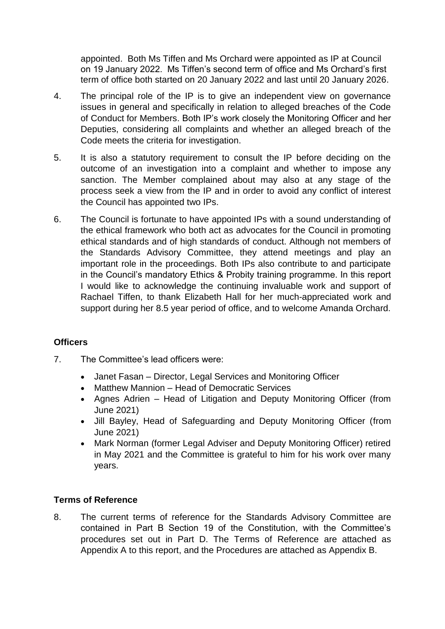appointed. Both Ms Tiffen and Ms Orchard were appointed as IP at Council on 19 January 2022. Ms Tiffen's second term of office and Ms Orchard's first term of office both started on 20 January 2022 and last until 20 January 2026.

- 4. The principal role of the IP is to give an independent view on governance issues in general and specifically in relation to alleged breaches of the Code of Conduct for Members. Both IP's work closely the Monitoring Officer and her Deputies, considering all complaints and whether an alleged breach of the Code meets the criteria for investigation.
- 5. It is also a statutory requirement to consult the IP before deciding on the outcome of an investigation into a complaint and whether to impose any sanction. The Member complained about may also at any stage of the process seek a view from the IP and in order to avoid any conflict of interest the Council has appointed two IPs.
- 6. The Council is fortunate to have appointed IPs with a sound understanding of the ethical framework who both act as advocates for the Council in promoting ethical standards and of high standards of conduct. Although not members of the Standards Advisory Committee, they attend meetings and play an important role in the proceedings. Both IPs also contribute to and participate in the Council's mandatory Ethics & Probity training programme. In this report I would like to acknowledge the continuing invaluable work and support of Rachael Tiffen, to thank Elizabeth Hall for her much-appreciated work and support during her 8.5 year period of office, and to welcome Amanda Orchard.

## **Officers**

- 7. The Committee's lead officers were:
	- Janet Fasan Director, Legal Services and Monitoring Officer
	- Matthew Mannion Head of Democratic Services
	- Agnes Adrien Head of Litigation and Deputy Monitoring Officer (from June 2021)
	- Jill Bayley, Head of Safeguarding and Deputy Monitoring Officer (from June 2021)
	- Mark Norman (former Legal Adviser and Deputy Monitoring Officer) retired in May 2021 and the Committee is grateful to him for his work over many years.

## **Terms of Reference**

8. The current terms of reference for the Standards Advisory Committee are contained in Part B Section 19 of the Constitution, with the Committee's procedures set out in Part D. The Terms of Reference are attached as Appendix A to this report, and the Procedures are attached as Appendix B.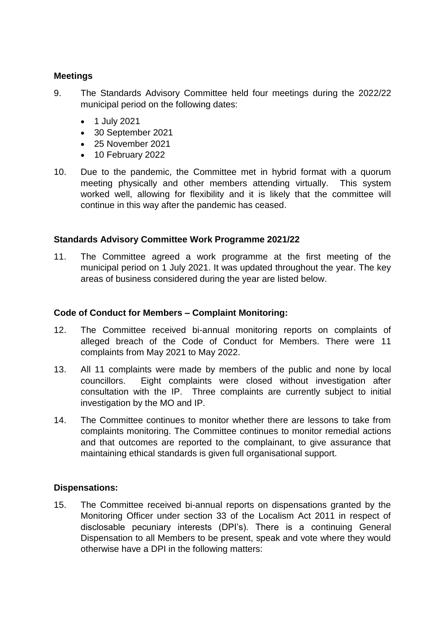### **Meetings**

- 9. The Standards Advisory Committee held four meetings during the 2022/22 municipal period on the following dates:
	- 1 July 2021
	- 30 September 2021
	- 25 November 2021
	- 10 February 2022
- 10. Due to the pandemic, the Committee met in hybrid format with a quorum meeting physically and other members attending virtually. This system worked well, allowing for flexibility and it is likely that the committee will continue in this way after the pandemic has ceased.

### **Standards Advisory Committee Work Programme 2021/22**

11. The Committee agreed a work programme at the first meeting of the municipal period on 1 July 2021. It was updated throughout the year. The key areas of business considered during the year are listed below.

#### **Code of Conduct for Members – Complaint Monitoring:**

- 12. The Committee received bi-annual monitoring reports on complaints of alleged breach of the Code of Conduct for Members. There were 11 complaints from May 2021 to May 2022.
- 13. All 11 complaints were made by members of the public and none by local councillors. Eight complaints were closed without investigation after consultation with the IP. Three complaints are currently subject to initial investigation by the MO and IP.
- 14. The Committee continues to monitor whether there are lessons to take from complaints monitoring. The Committee continues to monitor remedial actions and that outcomes are reported to the complainant, to give assurance that maintaining ethical standards is given full organisational support.

### **Dispensations:**

15. The Committee received bi-annual reports on dispensations granted by the Monitoring Officer under section 33 of the Localism Act 2011 in respect of disclosable pecuniary interests (DPI's). There is a continuing General Dispensation to all Members to be present, speak and vote where they would otherwise have a DPI in the following matters: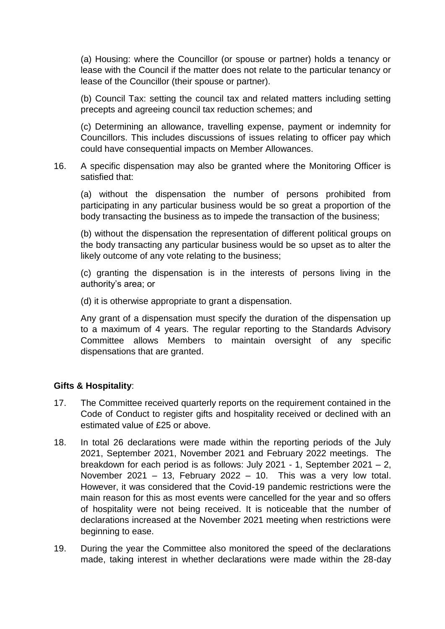(a) Housing: where the Councillor (or spouse or partner) holds a tenancy or lease with the Council if the matter does not relate to the particular tenancy or lease of the Councillor (their spouse or partner).

(b) Council Tax: setting the council tax and related matters including setting precepts and agreeing council tax reduction schemes; and

(c) Determining an allowance, travelling expense, payment or indemnity for Councillors. This includes discussions of issues relating to officer pay which could have consequential impacts on Member Allowances.

16. A specific dispensation may also be granted where the Monitoring Officer is satisfied that:

(a) without the dispensation the number of persons prohibited from participating in any particular business would be so great a proportion of the body transacting the business as to impede the transaction of the business;

(b) without the dispensation the representation of different political groups on the body transacting any particular business would be so upset as to alter the likely outcome of any vote relating to the business;

(c) granting the dispensation is in the interests of persons living in the authority's area; or

(d) it is otherwise appropriate to grant a dispensation.

Any grant of a dispensation must specify the duration of the dispensation up to a maximum of 4 years. The regular reporting to the Standards Advisory Committee allows Members to maintain oversight of any specific dispensations that are granted.

### **Gifts & Hospitality**:

- 17. The Committee received quarterly reports on the requirement contained in the Code of Conduct to register gifts and hospitality received or declined with an estimated value of £25 or above.
- 18. In total 26 declarations were made within the reporting periods of the July 2021, September 2021, November 2021 and February 2022 meetings. The breakdown for each period is as follows: July 2021 - 1, September 2021 – 2, November 2021 – 13, February 2022 – 10. This was a very low total. However, it was considered that the Covid-19 pandemic restrictions were the main reason for this as most events were cancelled for the year and so offers of hospitality were not being received. It is noticeable that the number of declarations increased at the November 2021 meeting when restrictions were beginning to ease.
- 19. During the year the Committee also monitored the speed of the declarations made, taking interest in whether declarations were made within the 28-day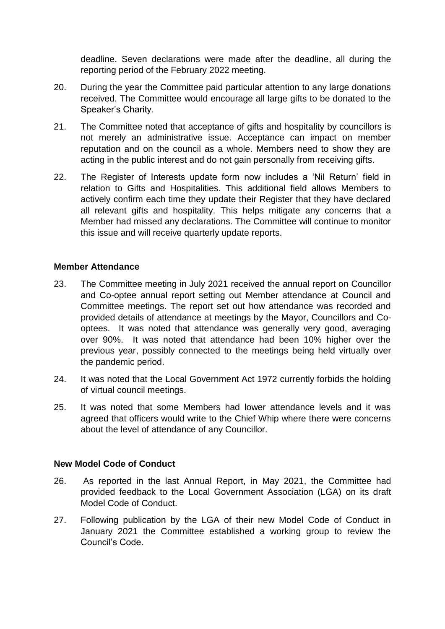deadline. Seven declarations were made after the deadline, all during the reporting period of the February 2022 meeting.

- 20. During the year the Committee paid particular attention to any large donations received. The Committee would encourage all large gifts to be donated to the Speaker's Charity.
- 21. The Committee noted that acceptance of gifts and hospitality by councillors is not merely an administrative issue. Acceptance can impact on member reputation and on the council as a whole. Members need to show they are acting in the public interest and do not gain personally from receiving gifts.
- 22. The Register of Interests update form now includes a 'Nil Return' field in relation to Gifts and Hospitalities. This additional field allows Members to actively confirm each time they update their Register that they have declared all relevant gifts and hospitality. This helps mitigate any concerns that a Member had missed any declarations. The Committee will continue to monitor this issue and will receive quarterly update reports.

### **Member Attendance**

- 23. The Committee meeting in July 2021 received the annual report on Councillor and Co-optee annual report setting out Member attendance at Council and Committee meetings. The report set out how attendance was recorded and provided details of attendance at meetings by the Mayor, Councillors and Cooptees. It was noted that attendance was generally very good, averaging over 90%. It was noted that attendance had been 10% higher over the previous year, possibly connected to the meetings being held virtually over the pandemic period.
- 24. It was noted that the Local Government Act 1972 currently forbids the holding of virtual council meetings.
- 25. It was noted that some Members had lower attendance levels and it was agreed that officers would write to the Chief Whip where there were concerns about the level of attendance of any Councillor.

### **New Model Code of Conduct**

- 26. As reported in the last Annual Report, in May 2021, the Committee had provided feedback to the Local Government Association (LGA) on its draft Model Code of Conduct.
- 27. Following publication by the LGA of their new Model Code of Conduct in January 2021 the Committee established a working group to review the Council's Code.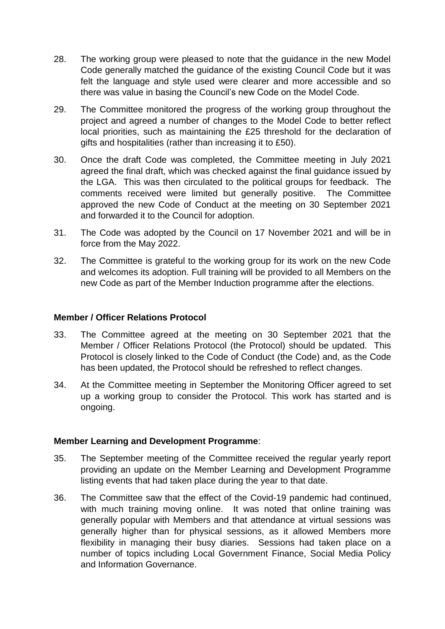- 28. The working group were pleased to note that the guidance in the new Model Code generally matched the guidance of the existing Council Code but it was felt the language and style used were clearer and more accessible and so there was value in basing the Council's new Code on the Model Code.
- 29. The Committee monitored the progress of the working group throughout the project and agreed a number of changes to the Model Code to better reflect local priorities, such as maintaining the £25 threshold for the declaration of gifts and hospitalities (rather than increasing it to £50).
- 30. Once the draft Code was completed, the Committee meeting in July 2021 agreed the final draft, which was checked against the final guidance issued by the LGA. This was then circulated to the political groups for feedback. The comments received were limited but generally positive. The Committee approved the new Code of Conduct at the meeting on 30 September 2021 and forwarded it to the Council for adoption.
- 31. The Code was adopted by the Council on 17 November 2021 and will be in force from the May 2022.
- 32. The Committee is grateful to the working group for its work on the new Code and welcomes its adoption. Full training will be provided to all Members on the new Code as part of the Member Induction programme after the elections.

### **Member / Officer Relations Protocol**

- 33. The Committee agreed at the meeting on 30 September 2021 that the Member / Officer Relations Protocol (the Protocol) should be updated. This Protocol is closely linked to the Code of Conduct (the Code) and, as the Code has been updated, the Protocol should be refreshed to reflect changes.
- 34. At the Committee meeting in September the Monitoring Officer agreed to set up a working group to consider the Protocol. This work has started and is ongoing.

### **Member Learning and Development Programme**:

- 35. The September meeting of the Committee received the regular yearly report providing an update on the Member Learning and Development Programme listing events that had taken place during the year to that date.
- 36. The Committee saw that the effect of the Covid-19 pandemic had continued, with much training moving online. It was noted that online training was generally popular with Members and that attendance at virtual sessions was generally higher than for physical sessions, as it allowed Members more flexibility in managing their busy diaries. Sessions had taken place on a number of topics including Local Government Finance, Social Media Policy and Information Governance.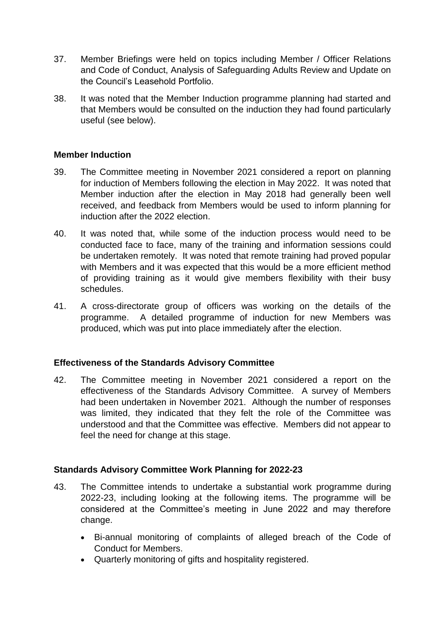- 37. Member Briefings were held on topics including Member / Officer Relations and Code of Conduct, Analysis of Safeguarding Adults Review and Update on the Council's Leasehold Portfolio.
- 38. It was noted that the Member Induction programme planning had started and that Members would be consulted on the induction they had found particularly useful (see below).

### **Member Induction**

- 39. The Committee meeting in November 2021 considered a report on planning for induction of Members following the election in May 2022. It was noted that Member induction after the election in May 2018 had generally been well received, and feedback from Members would be used to inform planning for induction after the 2022 election.
- 40. It was noted that, while some of the induction process would need to be conducted face to face, many of the training and information sessions could be undertaken remotely. It was noted that remote training had proved popular with Members and it was expected that this would be a more efficient method of providing training as it would give members flexibility with their busy schedules.
- 41. A cross-directorate group of officers was working on the details of the programme. A detailed programme of induction for new Members was produced, which was put into place immediately after the election.

## **Effectiveness of the Standards Advisory Committee**

42. The Committee meeting in November 2021 considered a report on the effectiveness of the Standards Advisory Committee. A survey of Members had been undertaken in November 2021. Although the number of responses was limited, they indicated that they felt the role of the Committee was understood and that the Committee was effective. Members did not appear to feel the need for change at this stage.

### **Standards Advisory Committee Work Planning for 2022-23**

- 43. The Committee intends to undertake a substantial work programme during 2022-23, including looking at the following items. The programme will be considered at the Committee's meeting in June 2022 and may therefore change.
	- Bi-annual monitoring of complaints of alleged breach of the Code of Conduct for Members.
	- Quarterly monitoring of gifts and hospitality registered.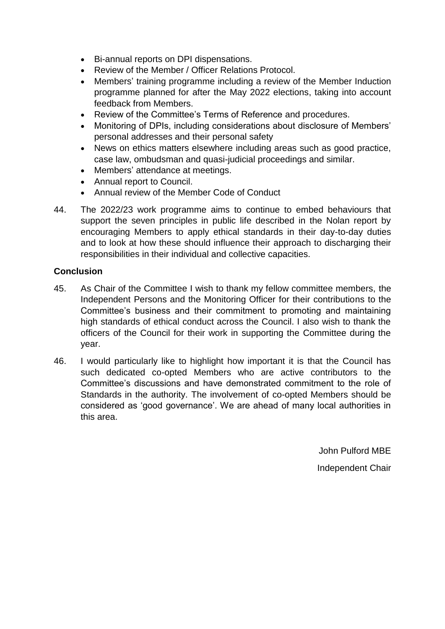- Bi-annual reports on DPI dispensations.
- Review of the Member / Officer Relations Protocol.
- Members' training programme including a review of the Member Induction programme planned for after the May 2022 elections, taking into account feedback from Members.
- Review of the Committee's Terms of Reference and procedures.
- Monitoring of DPIs, including considerations about disclosure of Members' personal addresses and their personal safety
- News on ethics matters elsewhere including areas such as good practice, case law, ombudsman and quasi-judicial proceedings and similar.
- Members' attendance at meetings.
- Annual report to Council.
- Annual review of the Member Code of Conduct
- 44. The 2022/23 work programme aims to continue to embed behaviours that support the seven principles in public life described in the Nolan report by encouraging Members to apply ethical standards in their day-to-day duties and to look at how these should influence their approach to discharging their responsibilities in their individual and collective capacities.

### **Conclusion**

- 45. As Chair of the Committee I wish to thank my fellow committee members, the Independent Persons and the Monitoring Officer for their contributions to the Committee's business and their commitment to promoting and maintaining high standards of ethical conduct across the Council. I also wish to thank the officers of the Council for their work in supporting the Committee during the year.
- 46. I would particularly like to highlight how important it is that the Council has such dedicated co-opted Members who are active contributors to the Committee's discussions and have demonstrated commitment to the role of Standards in the authority. The involvement of co-opted Members should be considered as 'good governance'. We are ahead of many local authorities in this area.

John Pulford MBE

Independent Chair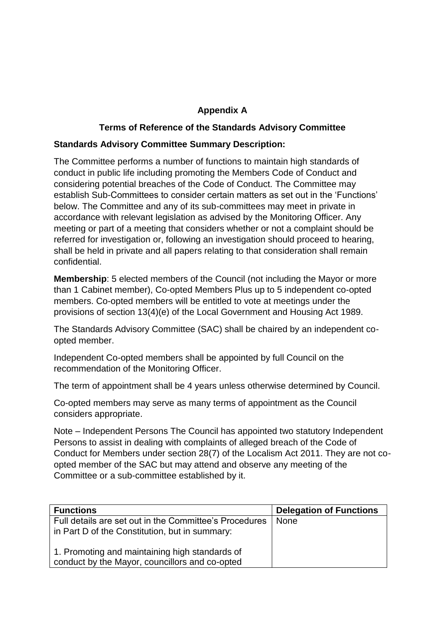## **Appendix A**

## **Terms of Reference of the Standards Advisory Committee**

### **Standards Advisory Committee Summary Description:**

The Committee performs a number of functions to maintain high standards of conduct in public life including promoting the Members Code of Conduct and considering potential breaches of the Code of Conduct. The Committee may establish Sub-Committees to consider certain matters as set out in the 'Functions' below. The Committee and any of its sub-committees may meet in private in accordance with relevant legislation as advised by the Monitoring Officer. Any meeting or part of a meeting that considers whether or not a complaint should be referred for investigation or, following an investigation should proceed to hearing, shall be held in private and all papers relating to that consideration shall remain confidential.

**Membership**: 5 elected members of the Council (not including the Mayor or more than 1 Cabinet member), Co-opted Members Plus up to 5 independent co-opted members. Co-opted members will be entitled to vote at meetings under the provisions of section 13(4)(e) of the Local Government and Housing Act 1989.

The Standards Advisory Committee (SAC) shall be chaired by an independent coopted member.

Independent Co-opted members shall be appointed by full Council on the recommendation of the Monitoring Officer.

The term of appointment shall be 4 years unless otherwise determined by Council.

Co-opted members may serve as many terms of appointment as the Council considers appropriate.

Note – Independent Persons The Council has appointed two statutory Independent Persons to assist in dealing with complaints of alleged breach of the Code of Conduct for Members under section 28(7) of the Localism Act 2011. They are not coopted member of the SAC but may attend and observe any meeting of the Committee or a sub-committee established by it.

| <b>Functions</b>                                                                                         | <b>Delegation of Functions</b> |
|----------------------------------------------------------------------------------------------------------|--------------------------------|
| Full details are set out in the Committee's Procedures<br>in Part D of the Constitution, but in summary: | None                           |
| 1. Promoting and maintaining high standards of<br>conduct by the Mayor, councillors and co-opted         |                                |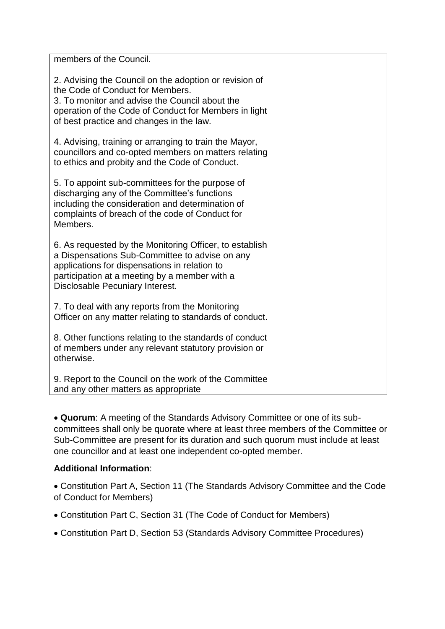| members of the Council.                                                                                                                                                                                                                           |  |
|---------------------------------------------------------------------------------------------------------------------------------------------------------------------------------------------------------------------------------------------------|--|
|                                                                                                                                                                                                                                                   |  |
| 2. Advising the Council on the adoption or revision of<br>the Code of Conduct for Members.<br>3. To monitor and advise the Council about the<br>operation of the Code of Conduct for Members in light<br>of best practice and changes in the law. |  |
| 4. Advising, training or arranging to train the Mayor,<br>councillors and co-opted members on matters relating<br>to ethics and probity and the Code of Conduct.                                                                                  |  |
| 5. To appoint sub-committees for the purpose of<br>discharging any of the Committee's functions<br>including the consideration and determination of<br>complaints of breach of the code of Conduct for<br>Members.                                |  |
| 6. As requested by the Monitoring Officer, to establish<br>a Dispensations Sub-Committee to advise on any<br>applications for dispensations in relation to<br>participation at a meeting by a member with a<br>Disclosable Pecuniary Interest.    |  |
| 7. To deal with any reports from the Monitoring<br>Officer on any matter relating to standards of conduct.                                                                                                                                        |  |
| 8. Other functions relating to the standards of conduct<br>of members under any relevant statutory provision or<br>otherwise.                                                                                                                     |  |
| 9. Report to the Council on the work of the Committee<br>and any other matters as appropriate                                                                                                                                                     |  |

 **Quorum**: A meeting of the Standards Advisory Committee or one of its subcommittees shall only be quorate where at least three members of the Committee or Sub-Committee are present for its duration and such quorum must include at least one councillor and at least one independent co-opted member.

## **Additional Information**:

 Constitution Part A, Section 11 (The Standards Advisory Committee and the Code of Conduct for Members)

- Constitution Part C, Section 31 (The Code of Conduct for Members)
- Constitution Part D, Section 53 (Standards Advisory Committee Procedures)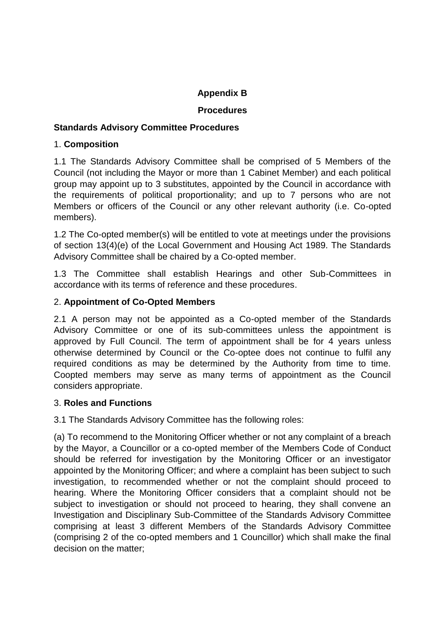# **Appendix B**

### **Procedures**

### **Standards Advisory Committee Procedures**

### 1. **Composition**

1.1 The Standards Advisory Committee shall be comprised of 5 Members of the Council (not including the Mayor or more than 1 Cabinet Member) and each political group may appoint up to 3 substitutes, appointed by the Council in accordance with the requirements of political proportionality; and up to 7 persons who are not Members or officers of the Council or any other relevant authority (i.e. Co-opted members).

1.2 The Co-opted member(s) will be entitled to vote at meetings under the provisions of section 13(4)(e) of the Local Government and Housing Act 1989. The Standards Advisory Committee shall be chaired by a Co-opted member.

1.3 The Committee shall establish Hearings and other Sub-Committees in accordance with its terms of reference and these procedures.

### 2. **Appointment of Co-Opted Members**

2.1 A person may not be appointed as a Co-opted member of the Standards Advisory Committee or one of its sub-committees unless the appointment is approved by Full Council. The term of appointment shall be for 4 years unless otherwise determined by Council or the Co-optee does not continue to fulfil any required conditions as may be determined by the Authority from time to time. Coopted members may serve as many terms of appointment as the Council considers appropriate.

### 3. **Roles and Functions**

3.1 The Standards Advisory Committee has the following roles:

(a) To recommend to the Monitoring Officer whether or not any complaint of a breach by the Mayor, a Councillor or a co-opted member of the Members Code of Conduct should be referred for investigation by the Monitoring Officer or an investigator appointed by the Monitoring Officer; and where a complaint has been subject to such investigation, to recommended whether or not the complaint should proceed to hearing. Where the Monitoring Officer considers that a complaint should not be subject to investigation or should not proceed to hearing, they shall convene an Investigation and Disciplinary Sub-Committee of the Standards Advisory Committee comprising at least 3 different Members of the Standards Advisory Committee (comprising 2 of the co-opted members and 1 Councillor) which shall make the final decision on the matter;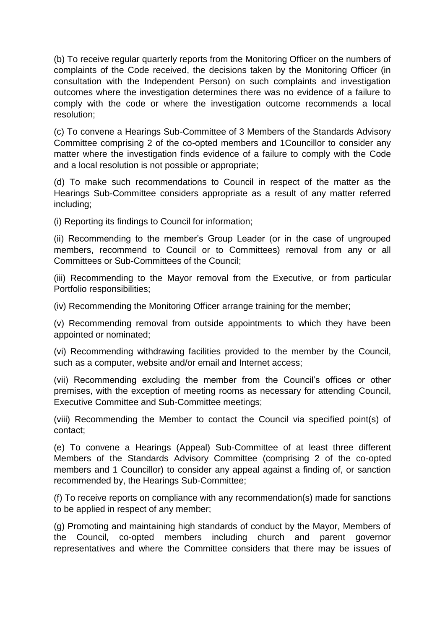(b) To receive regular quarterly reports from the Monitoring Officer on the numbers of complaints of the Code received, the decisions taken by the Monitoring Officer (in consultation with the Independent Person) on such complaints and investigation outcomes where the investigation determines there was no evidence of a failure to comply with the code or where the investigation outcome recommends a local resolution;

(c) To convene a Hearings Sub-Committee of 3 Members of the Standards Advisory Committee comprising 2 of the co-opted members and 1Councillor to consider any matter where the investigation finds evidence of a failure to comply with the Code and a local resolution is not possible or appropriate;

(d) To make such recommendations to Council in respect of the matter as the Hearings Sub-Committee considers appropriate as a result of any matter referred including;

(i) Reporting its findings to Council for information;

(ii) Recommending to the member's Group Leader (or in the case of ungrouped members, recommend to Council or to Committees) removal from any or all Committees or Sub-Committees of the Council;

(iii) Recommending to the Mayor removal from the Executive, or from particular Portfolio responsibilities;

(iv) Recommending the Monitoring Officer arrange training for the member;

(v) Recommending removal from outside appointments to which they have been appointed or nominated;

(vi) Recommending withdrawing facilities provided to the member by the Council, such as a computer, website and/or email and Internet access;

(vii) Recommending excluding the member from the Council's offices or other premises, with the exception of meeting rooms as necessary for attending Council, Executive Committee and Sub-Committee meetings;

(viii) Recommending the Member to contact the Council via specified point(s) of contact;

(e) To convene a Hearings (Appeal) Sub-Committee of at least three different Members of the Standards Advisory Committee (comprising 2 of the co-opted members and 1 Councillor) to consider any appeal against a finding of, or sanction recommended by, the Hearings Sub-Committee;

(f) To receive reports on compliance with any recommendation(s) made for sanctions to be applied in respect of any member;

(g) Promoting and maintaining high standards of conduct by the Mayor, Members of the Council, co-opted members including church and parent governor representatives and where the Committee considers that there may be issues of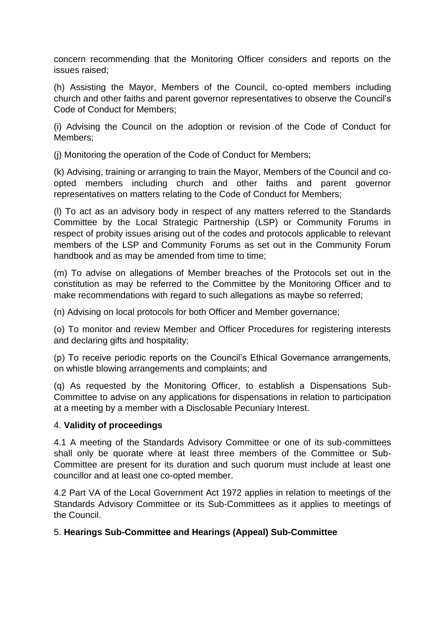concern recommending that the Monitoring Officer considers and reports on the issues raised;

(h) Assisting the Mayor, Members of the Council, co-opted members including church and other faiths and parent governor representatives to observe the Council's Code of Conduct for Members;

(i) Advising the Council on the adoption or revision of the Code of Conduct for Members;

(j) Monitoring the operation of the Code of Conduct for Members;

(k) Advising, training or arranging to train the Mayor, Members of the Council and coopted members including church and other faiths and parent governor representatives on matters relating to the Code of Conduct for Members;

(l) To act as an advisory body in respect of any matters referred to the Standards Committee by the Local Strategic Partnership (LSP) or Community Forums in respect of probity issues arising out of the codes and protocols applicable to relevant members of the LSP and Community Forums as set out in the Community Forum handbook and as may be amended from time to time;

(m) To advise on allegations of Member breaches of the Protocols set out in the constitution as may be referred to the Committee by the Monitoring Officer and to make recommendations with regard to such allegations as maybe so referred;

(n) Advising on local protocols for both Officer and Member governance;

(o) To monitor and review Member and Officer Procedures for registering interests and declaring gifts and hospitality;

(p) To receive periodic reports on the Council's Ethical Governance arrangements, on whistle blowing arrangements and complaints; and

(q) As requested by the Monitoring Officer, to establish a Dispensations Sub-Committee to advise on any applications for dispensations in relation to participation at a meeting by a member with a Disclosable Pecuniary Interest.

### 4. **Validity of proceedings**

4.1 A meeting of the Standards Advisory Committee or one of its sub-committees shall only be quorate where at least three members of the Committee or Sub-Committee are present for its duration and such quorum must include at least one councillor and at least one co-opted member.

4.2 Part VA of the Local Government Act 1972 applies in relation to meetings of the Standards Advisory Committee or its Sub-Committees as it applies to meetings of the Council.

## 5. **Hearings Sub-Committee and Hearings (Appeal) Sub-Committee**